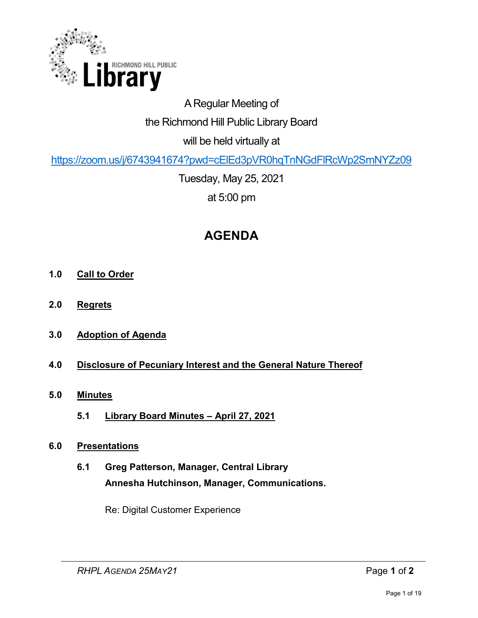

# A Regular Meeting of the Richmond Hill Public Library Board will be held virtually at

<https://zoom.us/j/6743941674?pwd=cElEd3pVR0hqTnNGdFlRcWp2SmNYZz09>

Tuesday, May 25, 2021 at 5:00 pm

# **AGENDA**

- **1.0 Call to Order**
- **2.0 Regrets**
- **3.0 Adoption of Agenda**

# **4.0 Disclosure of Pecuniary Interest and the General Nature Thereof**

- **5.0 Minutes** 
	- **5.1 Library Board Minutes April 27, 2021**

### **6.0 Presentations**

**6.1 Greg Patterson, Manager, Central Library Annesha Hutchinson, Manager, Communications.** 

Re: Digital Customer Experience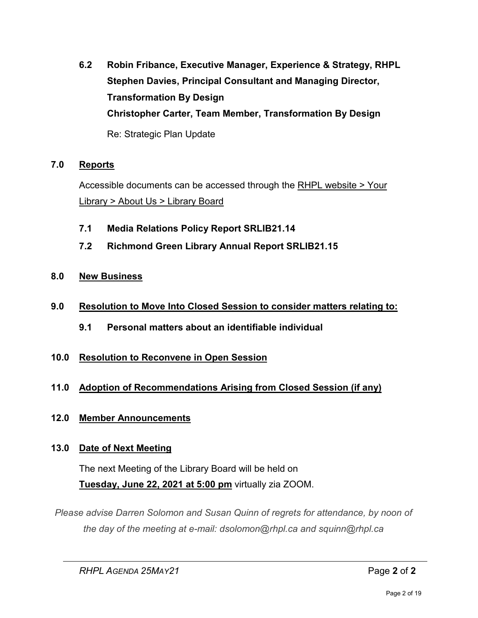**6.2 Robin Fribance, Executive Manager, Experience & Strategy, RHPL Stephen Davies, Principal Consultant and Managing Director, Transformation By Design Christopher Carter, Team Member, Transformation By Design** Re: Strategic Plan Update

### **7.0 Reports**

Accessible documents can be accessed through the [RHPL website > Your](https://www.rhpl.ca/your-library/about-us/library-board)  Library [> About Us > Library Board](https://www.rhpl.ca/your-library/about-us/library-board)

- **7.1 Media Relations Policy Report SRLIB21.14**
- **7.2 Richmond Green Library Annual Report SRLIB21.15**
- **8.0 New Business**
- **9.0 Resolution to Move Into Closed Session to consider matters relating to:**
	- **9.1 Personal matters about an identifiable individual**
- **10.0 Resolution to Reconvene in Open Session**

# **11.0 Adoption of Recommendations Arising from Closed Session (if any)**

# **12.0 Member Announcements**

# **13.0 Date of Next Meeting**

The next Meeting of the Library Board will be held on **Tuesday, June 22, 2021 at 5:00 pm** virtually zia ZOOM.

*Please advise Darren Solomon and Susan Quinn of regrets for attendance, by noon of the day of the meeting at e-mail: dsolomon@rhpl.ca and squinn@rhpl.ca*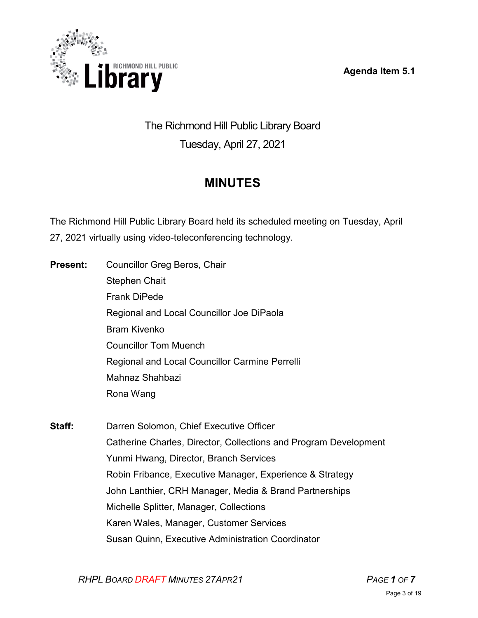**Agenda Item 5.1** 



# The Richmond Hill Public Library Board Tuesday, April 27, 2021

# **MINUTES**

The Richmond Hill Public Library Board held its scheduled meeting on Tuesday, April 27, 2021 virtually using video-teleconferencing technology.

| Present: | Councillor Greg Beros, Chair                          |
|----------|-------------------------------------------------------|
|          | <b>Stephen Chait</b>                                  |
|          | <b>Frank DiPede</b>                                   |
|          | Regional and Local Councillor Joe DiPaola             |
|          | <b>Bram Kivenko</b>                                   |
|          | <b>Councillor Tom Muench</b>                          |
|          | <b>Regional and Local Councillor Carmine Perrelli</b> |
|          | Mahnaz Shahbazi                                       |
|          | Rona Wang                                             |
|          |                                                       |
|          |                                                       |

**Staff:** Darren Solomon, Chief Executive Officer Catherine Charles, Director, Collections and Program Development Yunmi Hwang, Director, Branch Services Robin Fribance, Executive Manager, Experience & Strategy John Lanthier, CRH Manager, Media & Brand Partnerships Michelle Splitter, Manager, Collections Karen Wales, Manager, Customer Services Susan Quinn, Executive Administration Coordinator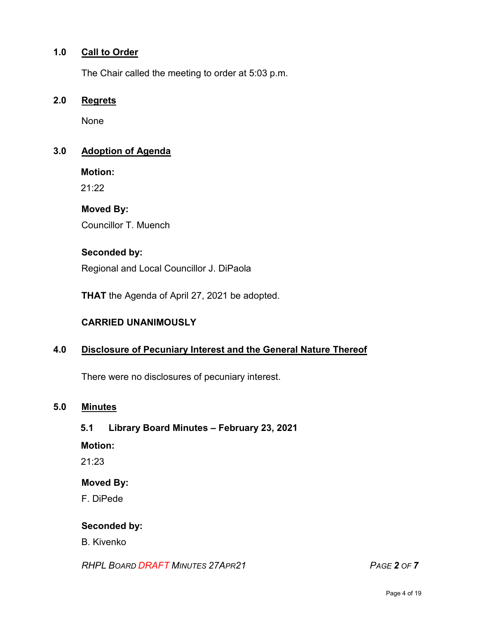#### **1.0 Call to Order**

The Chair called the meeting to order at 5:03 p.m.

#### **2.0 Regrets**

None

#### **3.0 Adoption of Agenda**

**Motion:** 

21:22

#### **Moved By:**

Councillor T. Muench

#### **Seconded by:**

Regional and Local Councillor J. DiPaola

**THAT** the Agenda of April 27, 2021 be adopted.

### **CARRIED UNANIMOUSLY**

## **4.0 Disclosure of Pecuniary Interest and the General Nature Thereof**

There were no disclosures of pecuniary interest.

#### **5.0 Minutes**

#### **5.1 Library Board Minutes – February 23, 2021**

#### **Motion:**

21:23

#### **Moved By:**

F. DiPede

#### **Seconded by:**

B. Kivenko

*RHPL BOARD DRAFT MINUTES 27APR21 PAGE 2 OF 7*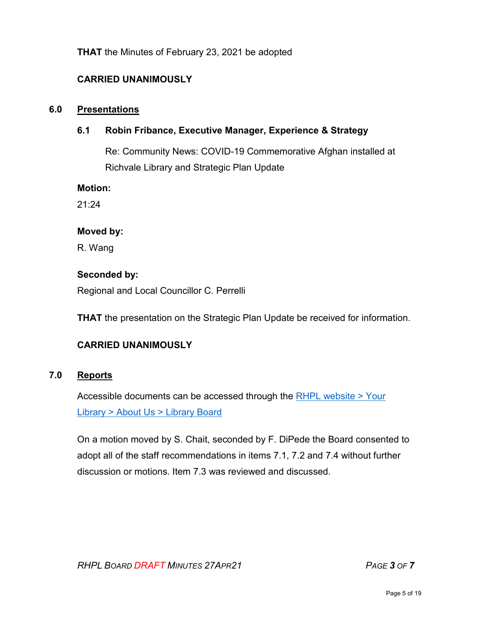### **THAT** the Minutes of February 23, 2021 be adopted

## **CARRIED UNANIMOUSLY**

#### **6.0 Presentations**

### **6.1 Robin Fribance, Executive Manager, Experience & Strategy**

Re: Community News: COVID-19 Commemorative Afghan installed at Richvale Library and Strategic Plan Update

**Motion:** 

 $21:24$ 

#### **Moved by:**

R. Wang

#### **Seconded by:**

Regional and Local Councillor C. Perrelli

**THAT** the presentation on the Strategic Plan Update be received for information.

### **CARRIED UNANIMOUSLY**

#### **7.0 Reports**

Accessible documents can be accessed through the [RHPL website > Your](https://www.rhpl.ca/your-library/about-us/library-board)  Library [> About Us > Library](https://www.rhpl.ca/your-library/about-us/library-board) Board

On a motion moved by S. Chait, seconded by F. DiPede the Board consented to adopt all of the staff recommendations in items 7.1, 7.2 and 7.4 without further discussion or motions. Item 7.3 was reviewed and discussed.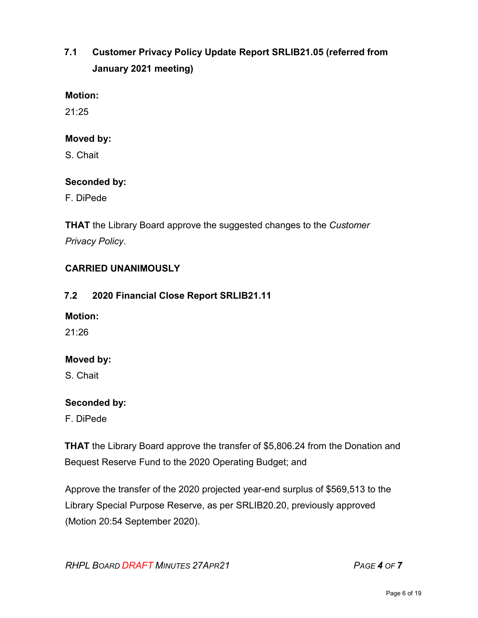# **7.1 Customer Privacy Policy Update Report SRLIB21.05 (referred from January 2021 meeting)**

#### **Motion:**

 $21:25$ 

#### **Moved by:**

S. Chait

#### **Seconded by:**

F. DiPede

**THAT** the Library Board approve the suggested changes to the *Customer Privacy Policy*.

### **CARRIED UNANIMOUSLY**

### **7.2 2020 Financial Close Report SRLIB21.11**

#### **Motion:**

21:26

### **Moved by:**

S. Chait

### **Seconded by:**

F. DiPede

**THAT** the Library Board approve the transfer of \$5,806.24 from the Donation and Bequest Reserve Fund to the 2020 Operating Budget; and

Approve the transfer of the 2020 projected year-end surplus of \$569,513 to the Library Special Purpose Reserve, as per SRLIB20.20, previously approved (Motion 20:54 September 2020).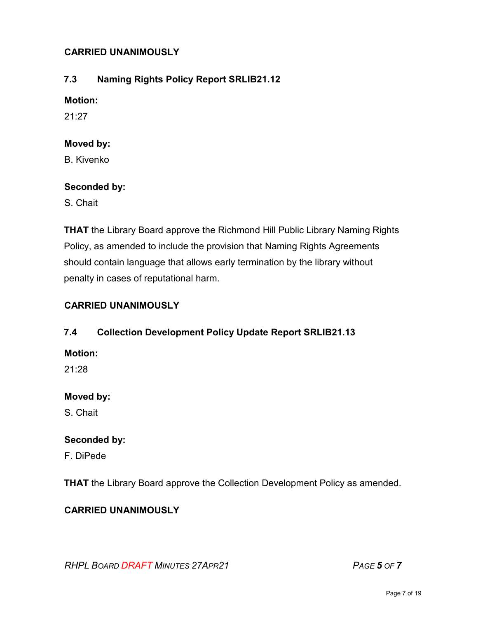### **CARRIED UNANIMOUSLY**

## **7.3 Naming Rights Policy Report SRLIB21.12**

### **Motion:**

21:27

#### **Moved by:**

B. Kivenko

#### **Seconded by:**

S. Chait

**THAT** the Library Board approve the Richmond Hill Public Library Naming Rights Policy, as amended to include the provision that Naming Rights Agreements should contain language that allows early termination by the library without penalty in cases of reputational harm.

### **CARRIED UNANIMOUSLY**

### **7.4 Collection Development Policy Update Report SRLIB21.13**

**Motion:** 

21:28

### **Moved by:**

S. Chait

### **Seconded by:**

F. DiPede

**THAT** the Library Board approve the Collection Development Policy as amended.

### **CARRIED UNANIMOUSLY**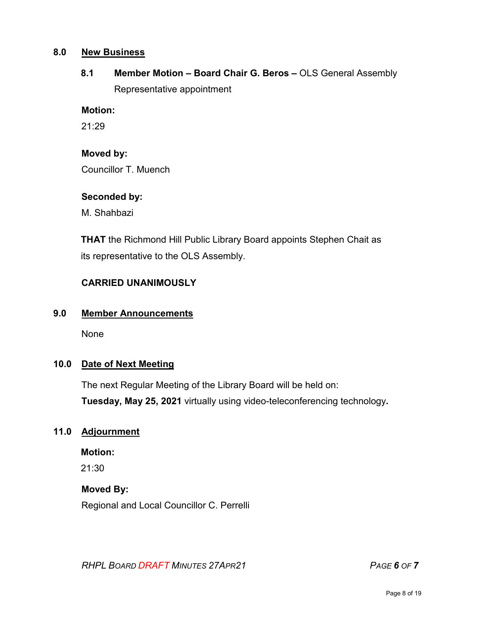#### **8.0 New Business**

# 8.1 **Member Motion – Board Chair G. Beros – OLS General Assembly** Representative appointment

#### **Motion:**

21:29

# **Moved by:**

Councillor T. Muench

# **Seconded by:**

M. Shahbazi

**THAT** the Richmond Hill Public Library Board appoints Stephen Chait as its representative to the OLS Assembly.

# **CARRIED UNANIMOUSLY**

### **9.0 Member Announcements**

None

### **10.0 Date of Next Meeting**

The next Regular Meeting of the Library Board will be held on: **Tuesday, May 25, 2021** virtually using video-teleconferencing technology**.** 

### **11.0 Adjournment**

### **Motion:**

21:30

### **Moved By:**

Regional and Local Councillor C. Perrelli

*RHPL BOARD DRAFT MINUTES 27APR21 PAGE 6 OF 7*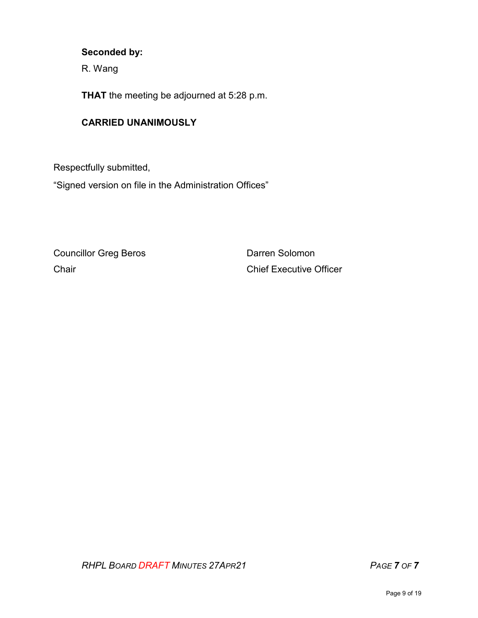#### **Seconded by:**

R. Wang

**THAT** the meeting be adjourned at 5:28 p.m.

#### **CARRIED UNANIMOUSLY**

Respectfully submitted,

"Signed version on file in the Administration Offices"

Councillor Greg Beros **Darren Solomon** 

Chair Chair Chief Executive Officer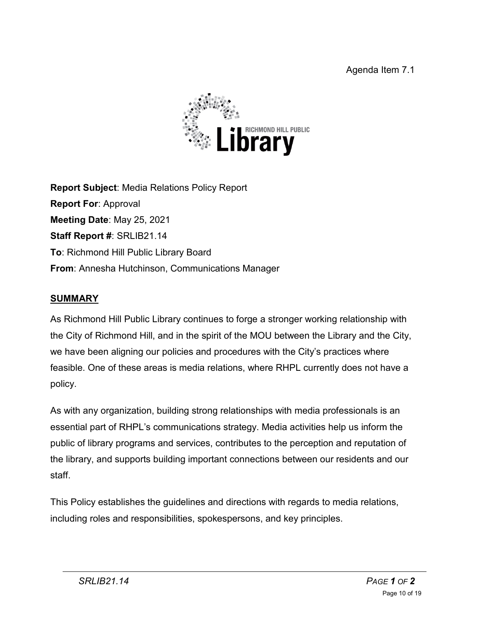

**Report Subject**: Media Relations Policy Report **Report For**: Approval **Meeting Date**: May 25, 2021 **Staff Report #**: SRLIB21.14 **To**: Richmond Hill Public Library Board **From**: Annesha Hutchinson, Communications Manager

# **SUMMARY**

As Richmond Hill Public Library continues to forge a stronger working relationship with the City of Richmond Hill, and in the spirit of the MOU between the Library and the City, we have been aligning our policies and procedures with the City's practices where feasible. One of these areas is media relations, where RHPL currently does not have a policy.

As with any organization, building strong relationships with media professionals is an essential part of RHPL's communications strategy. Media activities help us inform the public of library programs and services, contributes to the perception and reputation of the library, and supports building important connections between our residents and our staff.

This Policy establishes the guidelines and directions with regards to media relations, including roles and responsibilities, spokespersons, and key principles.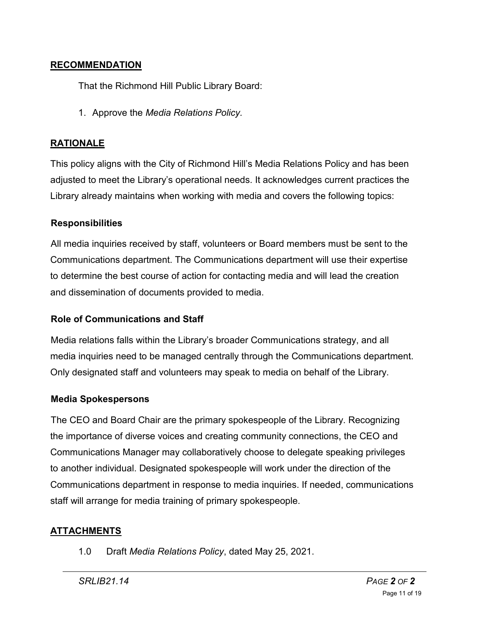# **RECOMMENDATION**

That the Richmond Hill Public Library Board:

1. Approve the *Media Relations Policy.*

# **RATIONALE**

This policy aligns with the City of Richmond Hill's Media Relations Policy and has been adjusted to meet the Library's operational needs. It acknowledges current practices the Library already maintains when working with media and covers the following topics:

# **Responsibilities**

All media inquiries received by staff, volunteers or Board members must be sent to the Communications department. The Communications department will use their expertise to determine the best course of action for contacting media and will lead the creation and dissemination of documents provided to media.

### **Role of Communications and Staff**

Media relations falls within the Library's broader Communications strategy, and all media inquiries need to be managed centrally through the Communications department. Only designated staff and volunteers may speak to media on behalf of the Library.

### **Media Spokespersons**

The CEO and Board Chair are the primary spokespeople of the Library. Recognizing the importance of diverse voices and creating community connections, the CEO and Communications Manager may collaboratively choose to delegate speaking privileges to another individual. Designated spokespeople will work under the direction of the Communications department in response to media inquiries. If needed, communications staff will arrange for media training of primary spokespeople.

### **ATTACHMENTS**

1.0 Draft *Media Relations Policy*, dated May 25, 2021.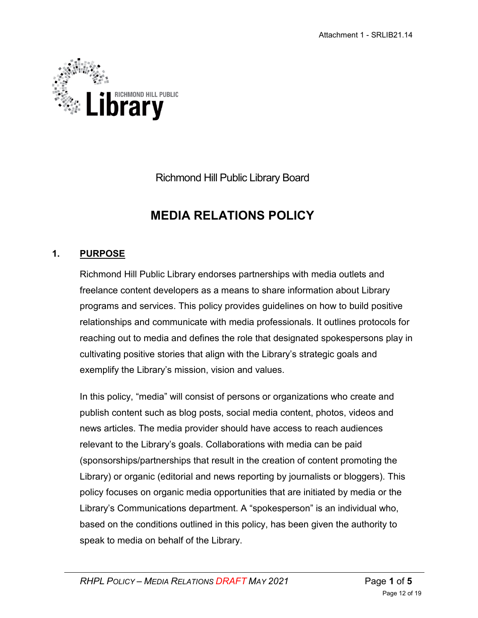

Richmond Hill Public Library Board

# **MEDIA RELATIONS POLICY**

# **1. PURPOSE**

Richmond Hill Public Library endorses partnerships with media outlets and freelance content developers as a means to share information about Library programs and services. This policy provides guidelines on how to build positive relationships and communicate with media professionals. It outlines protocols for reaching out to media and defines the role that designated spokespersons play in cultivating positive stories that align with the Library's strategic goals and exemplify the Library's mission, vision and values.

In this policy, "media" will consist of persons or organizations who create and publish content such as blog posts, social media content, photos, videos and news articles. The media provider should have access to reach audiences relevant to the Library's goals. Collaborations with media can be paid (sponsorships/partnerships that result in the creation of content promoting the Library) or organic (editorial and news reporting by journalists or bloggers). This policy focuses on organic media opportunities that are initiated by media or the Library's Communications department. A "spokesperson" is an individual who, based on the conditions outlined in this policy, has been given the authority to speak to media on behalf of the Library.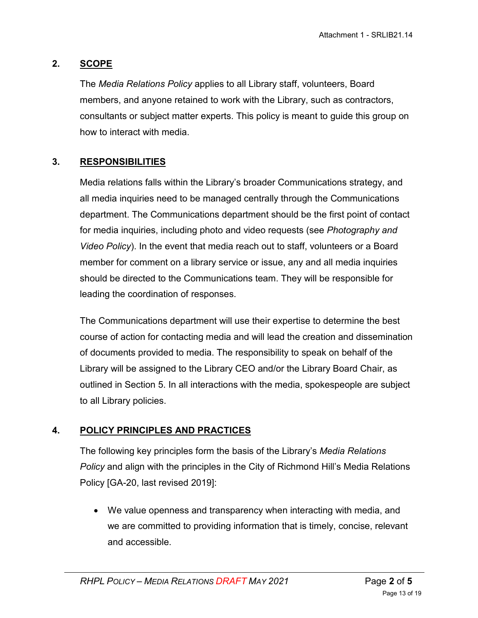# **2. SCOPE**

The *Media Relations Policy* applies to all Library staff, volunteers, Board members, and anyone retained to work with the Library, such as contractors, consultants or subject matter experts. This policy is meant to guide this group on how to interact with media.

# **3. RESPONSIBILITIES**

Media relations falls within the Library's broader Communications strategy, and all media inquiries need to be managed centrally through the Communications department. The Communications department should be the first point of contact for media inquiries, including photo and video requests (see *Photography and Video Policy*). In the event that media reach out to staff, volunteers or a Board member for comment on a library service or issue, any and all media inquiries should be directed to the Communications team. They will be responsible for leading the coordination of responses.

The Communications department will use their expertise to determine the best course of action for contacting media and will lead the creation and dissemination of documents provided to media. The responsibility to speak on behalf of the Library will be assigned to the Library CEO and/or the Library Board Chair, as outlined in Section 5. In all interactions with the media, spokespeople are subject to all Library policies.

# **4. POLICY PRINCIPLES AND PRACTICES**

The following key principles form the basis of the Library's *Media Relations Policy* and align with the principles in the City of Richmond Hill's Media Relations Policy [GA-20, last revised 2019]:

• We value openness and transparency when interacting with media, and we are committed to providing information that is timely, concise, relevant and accessible.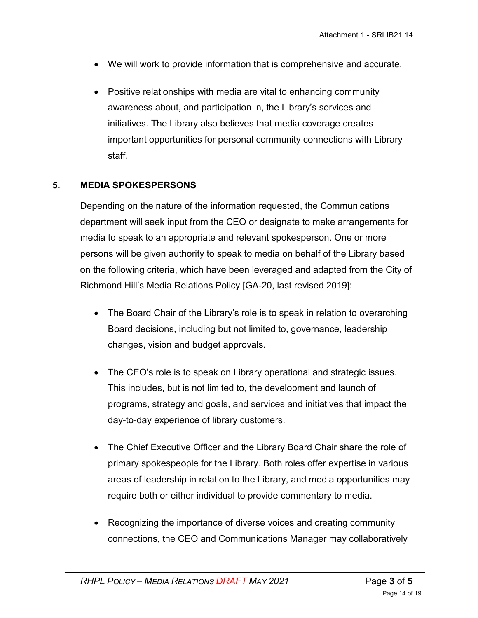- We will work to provide information that is comprehensive and accurate.
- Positive relationships with media are vital to enhancing community awareness about, and participation in, the Library's services and initiatives. The Library also believes that media coverage creates important opportunities for personal community connections with Library staff.

# **5. MEDIA SPOKESPERSONS**

Depending on the nature of the information requested, the Communications department will seek input from the CEO or designate to make arrangements for media to speak to an appropriate and relevant spokesperson. One or more persons will be given authority to speak to media on behalf of the Library based on the following criteria, which have been leveraged and adapted from the City of Richmond Hill's Media Relations Policy [GA-20, last revised 2019]:

- The Board Chair of the Library's role is to speak in relation to overarching Board decisions, including but not limited to, governance, leadership changes, vision and budget approvals.
- The CEO's role is to speak on Library operational and strategic issues. This includes, but is not limited to, the development and launch of programs, strategy and goals, and services and initiatives that impact the day-to-day experience of library customers.
- The Chief Executive Officer and the Library Board Chair share the role of primary spokespeople for the Library. Both roles offer expertise in various areas of leadership in relation to the Library, and media opportunities may require both or either individual to provide commentary to media.
- Recognizing the importance of diverse voices and creating community connections, the CEO and Communications Manager may collaboratively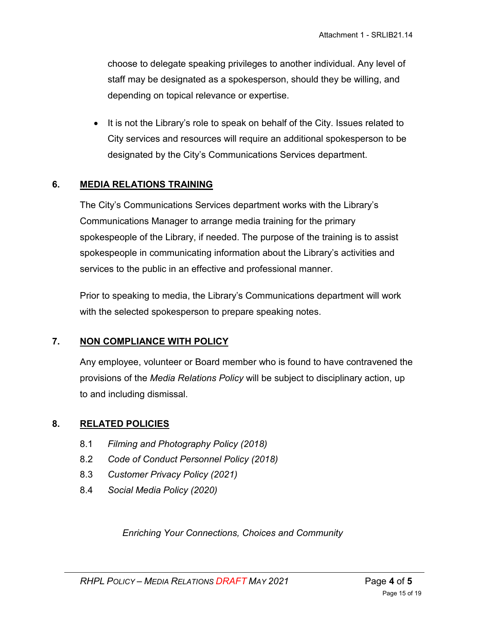choose to delegate speaking privileges to another individual. Any level of staff may be designated as a spokesperson, should they be willing, and depending on topical relevance or expertise.

• It is not the Library's role to speak on behalf of the City. Issues related to City services and resources will require an additional spokesperson to be designated by the City's Communications Services department.

#### **6. MEDIA RELATIONS TRAINING**

The City's Communications Services department works with the Library's Communications Manager to arrange media training for the primary spokespeople of the Library, if needed. The purpose of the training is to assist spokespeople in communicating information about the Library's activities and services to the public in an effective and professional manner.

Prior to speaking to media, the Library's Communications department will work with the selected spokesperson to prepare speaking notes.

#### **7. NON COMPLIANCE WITH POLICY**

Any employee, volunteer or Board member who is found to have contravened the provisions of the *Media Relations Policy* will be subject to disciplinary action, up to and including dismissal.

### **8. RELATED POLICIES**

- 8.1 *Filming and Photography Policy (2018)*
- 8.2 *Code of Conduct Personnel Policy (2018)*
- 8.3 *Customer Privacy Policy (2021)*
- 8.4 *Social Media Policy (2020)*

*Enriching Your Connections, Choices and Community*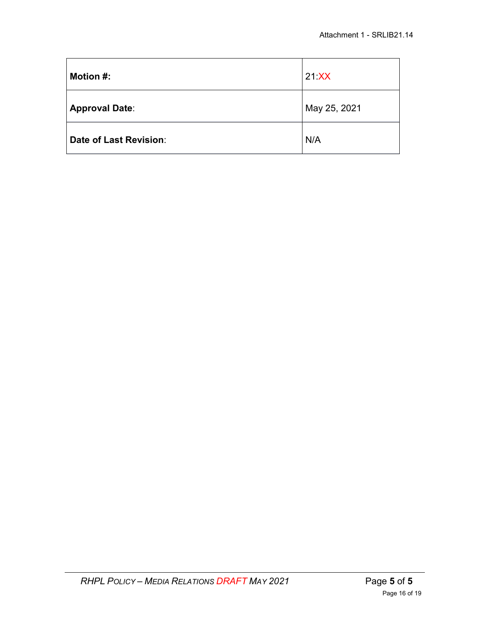| <b>Motion #:</b>       | $21$ $XX$    |
|------------------------|--------------|
| <b>Approval Date:</b>  | May 25, 2021 |
| Date of Last Revision: | N/A          |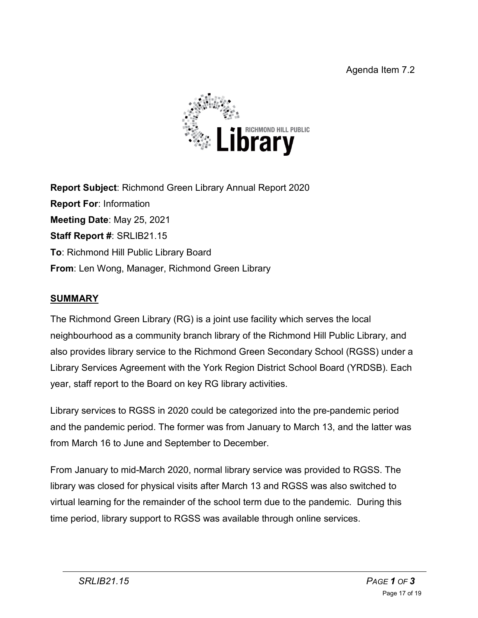

**Report Subject**: Richmond Green Library Annual Report 2020 **Report For**: Information **Meeting Date**: May 25, 2021 **Staff Report #**: SRLIB21.15 **To**: Richmond Hill Public Library Board **From**: Len Wong, Manager, Richmond Green Library

# **SUMMARY**

The Richmond Green Library (RG) is a joint use facility which serves the local neighbourhood as a community branch library of the Richmond Hill Public Library, and also provides library service to the Richmond Green Secondary School (RGSS) under a Library Services Agreement with the York Region District School Board (YRDSB). Each year, staff report to the Board on key RG library activities.

Library services to RGSS in 2020 could be categorized into the pre-pandemic period and the pandemic period. The former was from January to March 13, and the latter was from March 16 to June and September to December.

From January to mid-March 2020, normal library service was provided to RGSS. The library was closed for physical visits after March 13 and RGSS was also switched to virtual learning for the remainder of the school term due to the pandemic. During this time period, library support to RGSS was available through online services.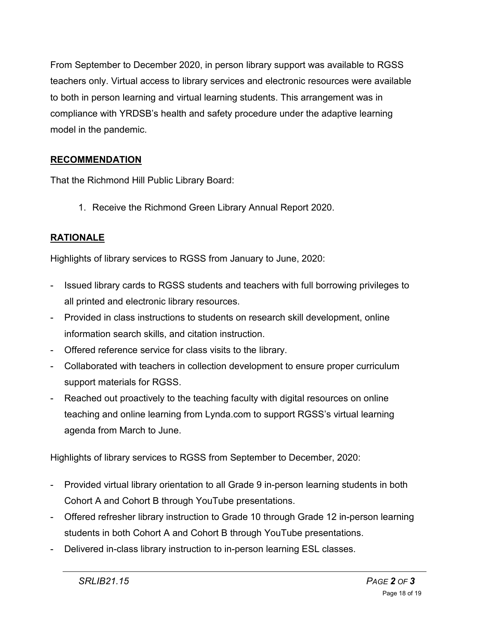From September to December 2020, in person library support was available to RGSS teachers only. Virtual access to library services and electronic resources were available to both in person learning and virtual learning students. This arrangement was in compliance with YRDSB's health and safety procedure under the adaptive learning model in the pandemic.

# **RECOMMENDATION**

That the Richmond Hill Public Library Board:

1. Receive the Richmond Green Library Annual Report 2020.

# **RATIONALE**

Highlights of library services to RGSS from January to June, 2020:

- Issued library cards to RGSS students and teachers with full borrowing privileges to all printed and electronic library resources.
- Provided in class instructions to students on research skill development, online information search skills, and citation instruction.
- Offered reference service for class visits to the library.
- Collaborated with teachers in collection development to ensure proper curriculum support materials for RGSS.
- Reached out proactively to the teaching faculty with digital resources on online teaching and online learning from Lynda.com to support RGSS's virtual learning agenda from March to June.

Highlights of library services to RGSS from September to December, 2020:

- Provided virtual library orientation to all Grade 9 in-person learning students in both Cohort A and Cohort B through YouTube presentations.
- Offered refresher library instruction to Grade 10 through Grade 12 in-person learning students in both Cohort A and Cohort B through YouTube presentations.
- Delivered in-class library instruction to in-person learning ESL classes.